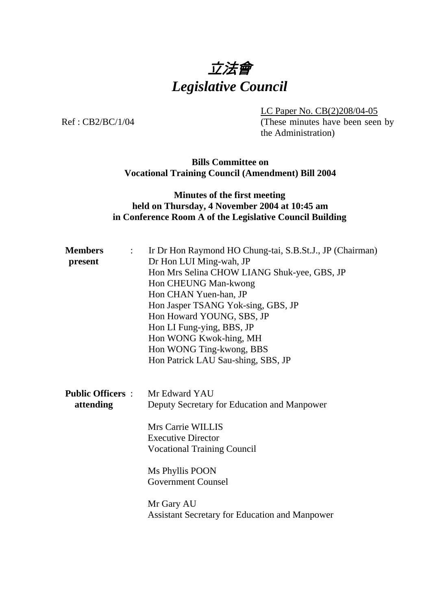

 LC Paper No. CB(2)208/04-05 Ref: CB2/BC/1/04 (These minutes have been seen by

the Administration)

#### **Bills Committee on Vocational Training Council (Amendment) Bill 2004**

# **Minutes of the first meeting held on Thursday, 4 November 2004 at 10:45 am in Conference Room A of the Legislative Council Building**

| <b>Members</b><br>$\mathbb{R}^{\mathbb{Z}}$<br>present | Ir Dr Hon Raymond HO Chung-tai, S.B.St.J., JP (Chairman)<br>Dr Hon LUI Ming-wah, JP<br>Hon Mrs Selina CHOW LIANG Shuk-yee, GBS, JP<br>Hon CHEUNG Man-kwong<br>Hon CHAN Yuen-han, JP<br>Hon Jasper TSANG Yok-sing, GBS, JP<br>Hon Howard YOUNG, SBS, JP<br>Hon LI Fung-ying, BBS, JP<br>Hon WONG Kwok-hing, MH<br>Hon WONG Ting-kwong, BBS<br>Hon Patrick LAU Sau-shing, SBS, JP |
|--------------------------------------------------------|---------------------------------------------------------------------------------------------------------------------------------------------------------------------------------------------------------------------------------------------------------------------------------------------------------------------------------------------------------------------------------|
| <b>Public Officers:</b> Mr Edward YAU<br>attending     | Deputy Secretary for Education and Manpower<br>Mrs Carrie WILLIS<br><b>Executive Director</b><br><b>Vocational Training Council</b><br>Ms Phyllis POON<br><b>Government Counsel</b><br>Mr Gary AU<br><b>Assistant Secretary for Education and Manpower</b>                                                                                                                      |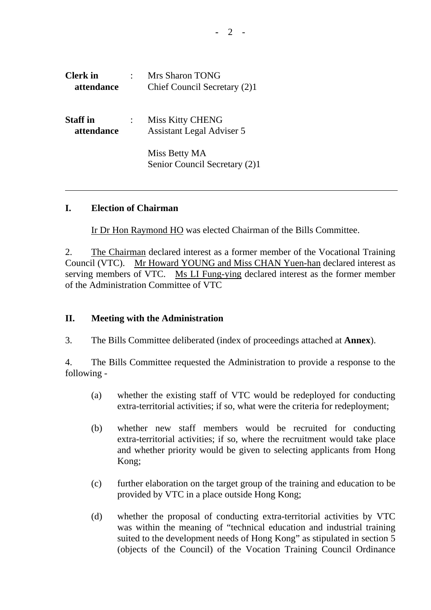| <b>Clerk</b> in<br>attendance | Mrs Sharon TONG<br>Chief Council Secretary (2)1             |
|-------------------------------|-------------------------------------------------------------|
| <b>Staff</b> in<br>attendance | <b>Miss Kitty CHENG</b><br><b>Assistant Legal Adviser 5</b> |
|                               | Miss Betty MA<br>Senior Council Secretary (2)1              |

### **I. Election of Chairman**

1. Ir Dr Hon Raymond HO was elected Chairman of the Bills Committee.

2. The Chairman declared interest as a former member of the Vocational Training Council (VTC). Mr Howard YOUNG and Miss CHAN Yuen-han declared interest as serving members of VTC. Ms LI Fung-ying declared interest as the former member of the Administration Committee of VTC

#### **II. Meeting with the Administration**

3. The Bills Committee deliberated (index of proceedings attached at **Annex**).

4. The Bills Committee requested the Administration to provide a response to the following -

- (a) whether the existing staff of VTC would be redeployed for conducting extra-territorial activities; if so, what were the criteria for redeployment;
- (b) whether new staff members would be recruited for conducting extra-territorial activities; if so, where the recruitment would take place and whether priority would be given to selecting applicants from Hong Kong;
- (c) further elaboration on the target group of the training and education to be provided by VTC in a place outside Hong Kong;
- (d) whether the proposal of conducting extra-territorial activities by VTC was within the meaning of "technical education and industrial training suited to the development needs of Hong Kong" as stipulated in section 5 (objects of the Council) of the Vocation Training Council Ordinance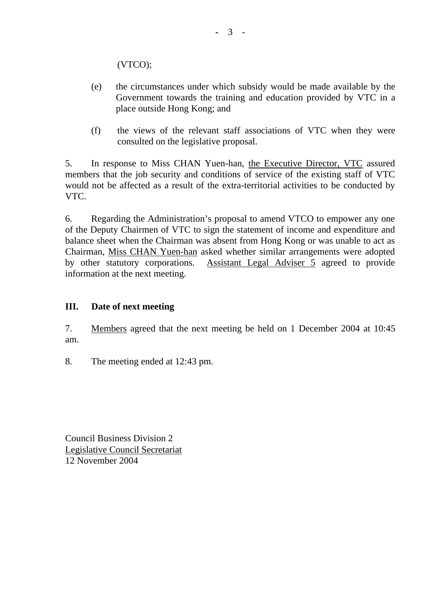(VTCO);

- (e) the circumstances under which subsidy would be made available by the Government towards the training and education provided by VTC in a place outside Hong Kong; and
- (f) the views of the relevant staff associations of VTC when they were consulted on the legislative proposal.

5. In response to Miss CHAN Yuen-han, the Executive Director, VTC assured members that the job security and conditions of service of the existing staff of VTC would not be affected as a result of the extra-territorial activities to be conducted by VTC.

6. Regarding the Administration's proposal to amend VTCO to empower any one of the Deputy Chairmen of VTC to sign the statement of income and expenditure and balance sheet when the Chairman was absent from Hong Kong or was unable to act as Chairman, Miss CHAN Yuen-han asked whether similar arrangements were adopted by other statutory corporations. Assistant Legal Adviser 5 agreed to provide information at the next meeting.

## **III. Date of next meeting**

7. Members agreed that the next meeting be held on 1 December 2004 at 10:45 am.

8. The meeting ended at 12:43 pm.

Council Business Division 2 Legislative Council Secretariat 12 November 2004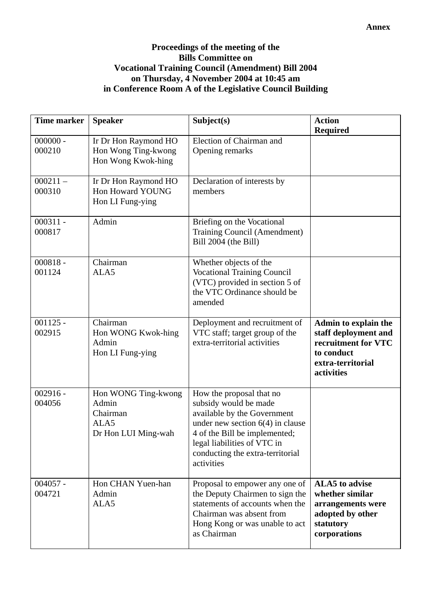## **Proceedings of the meeting of the Bills Committee on Vocational Training Council (Amendment) Bill 2004 on Thursday, 4 November 2004 at 10:45 am in Conference Room A of the Legislative Council Building**

| <b>Time marker</b>   | <b>Speaker</b>                                                          | Subject(s)                                                                                                                                                                                                                               | <b>Action</b><br><b>Required</b>                                                                                     |
|----------------------|-------------------------------------------------------------------------|------------------------------------------------------------------------------------------------------------------------------------------------------------------------------------------------------------------------------------------|----------------------------------------------------------------------------------------------------------------------|
| $000000 -$<br>000210 | Ir Dr Hon Raymond HO<br>Hon Wong Ting-kwong<br>Hon Wong Kwok-hing       | Election of Chairman and<br>Opening remarks                                                                                                                                                                                              |                                                                                                                      |
| $000211 -$<br>000310 | Ir Dr Hon Raymond HO<br>Hon Howard YOUNG<br>Hon LI Fung-ying            | Declaration of interests by<br>members                                                                                                                                                                                                   |                                                                                                                      |
| $000311 -$<br>000817 | Admin                                                                   | Briefing on the Vocational<br>Training Council (Amendment)<br>Bill 2004 (the Bill)                                                                                                                                                       |                                                                                                                      |
| $000818 -$<br>001124 | Chairman<br>ALA5                                                        | Whether objects of the<br><b>Vocational Training Council</b><br>(VTC) provided in section 5 of<br>the VTC Ordinance should be<br>amended                                                                                                 |                                                                                                                      |
| $001125 -$<br>002915 | Chairman<br>Hon WONG Kwok-hing<br>Admin<br>Hon LI Fung-ying             | Deployment and recruitment of<br>VTC staff; target group of the<br>extra-territorial activities                                                                                                                                          | Admin to explain the<br>staff deployment and<br>recruitment for VTC<br>to conduct<br>extra-territorial<br>activities |
| $002916 -$<br>004056 | Hon WONG Ting-kwong<br>Admin<br>Chairman<br>ALA5<br>Dr Hon LUI Ming-wah | How the proposal that no<br>subsidy would be made<br>available by the Government<br>under new section $6(4)$ in clause<br>4 of the Bill be implemented;<br>legal liabilities of VTC in<br>conducting the extra-territorial<br>activities |                                                                                                                      |
| $004057 -$<br>004721 | Hon CHAN Yuen-han<br>Admin<br>ALA5                                      | Proposal to empower any one of<br>the Deputy Chairmen to sign the<br>statements of accounts when the<br>Chairman was absent from<br>Hong Kong or was unable to act<br>as Chairman                                                        | <b>ALA5</b> to advise<br>whether similar<br>arrangements were<br>adopted by other<br>statutory<br>corporations       |